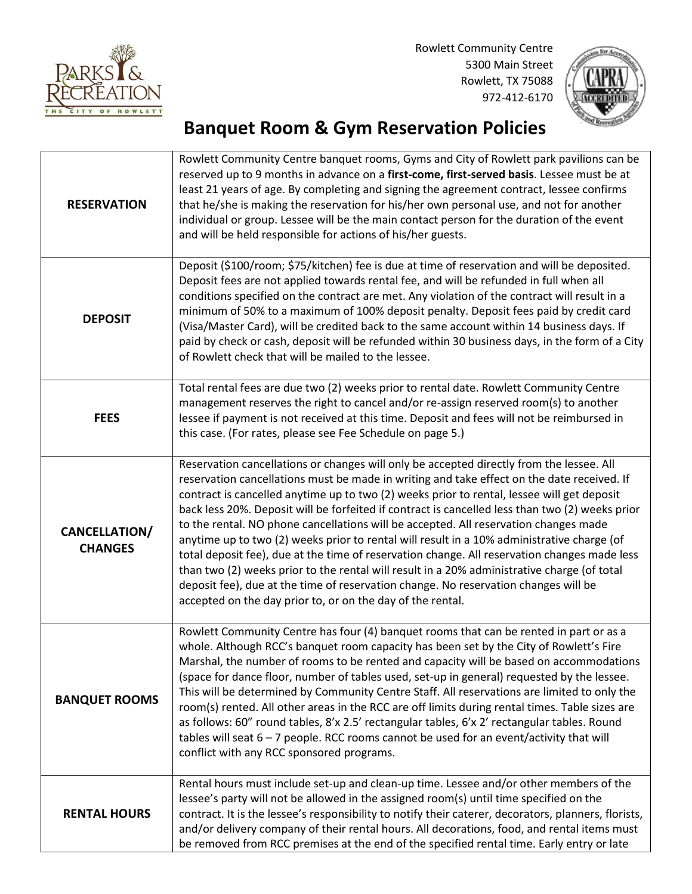

Rowlett Community Centre 5300 Main Street Rowlett, TX 75088 972-412-6170



## **Banquet Room & Gym Reservation Policies**

| <b>RESERVATION</b>                     | Rowlett Community Centre banquet rooms, Gyms and City of Rowlett park pavilions can be<br>reserved up to 9 months in advance on a first-come, first-served basis. Lessee must be at<br>least 21 years of age. By completing and signing the agreement contract, lessee confirms<br>that he/she is making the reservation for his/her own personal use, and not for another<br>individual or group. Lessee will be the main contact person for the duration of the event<br>and will be held responsible for actions of his/her guests.                                                                                                                                                                                                                                                                                                                                                                                            |  |  |
|----------------------------------------|-----------------------------------------------------------------------------------------------------------------------------------------------------------------------------------------------------------------------------------------------------------------------------------------------------------------------------------------------------------------------------------------------------------------------------------------------------------------------------------------------------------------------------------------------------------------------------------------------------------------------------------------------------------------------------------------------------------------------------------------------------------------------------------------------------------------------------------------------------------------------------------------------------------------------------------|--|--|
| <b>DEPOSIT</b>                         | Deposit (\$100/room; \$75/kitchen) fee is due at time of reservation and will be deposited.<br>Deposit fees are not applied towards rental fee, and will be refunded in full when all<br>conditions specified on the contract are met. Any violation of the contract will result in a<br>minimum of 50% to a maximum of 100% deposit penalty. Deposit fees paid by credit card<br>(Visa/Master Card), will be credited back to the same account within 14 business days. If<br>paid by check or cash, deposit will be refunded within 30 business days, in the form of a City<br>of Rowlett check that will be mailed to the lessee.                                                                                                                                                                                                                                                                                              |  |  |
| <b>FEES</b>                            | Total rental fees are due two (2) weeks prior to rental date. Rowlett Community Centre<br>management reserves the right to cancel and/or re-assign reserved room(s) to another<br>lessee if payment is not received at this time. Deposit and fees will not be reimbursed in<br>this case. (For rates, please see Fee Schedule on page 5.)                                                                                                                                                                                                                                                                                                                                                                                                                                                                                                                                                                                        |  |  |
| <b>CANCELLATION/</b><br><b>CHANGES</b> | Reservation cancellations or changes will only be accepted directly from the lessee. All<br>reservation cancellations must be made in writing and take effect on the date received. If<br>contract is cancelled anytime up to two (2) weeks prior to rental, lessee will get deposit<br>back less 20%. Deposit will be forfeited if contract is cancelled less than two (2) weeks prior<br>to the rental. NO phone cancellations will be accepted. All reservation changes made<br>anytime up to two (2) weeks prior to rental will result in a 10% administrative charge (of<br>total deposit fee), due at the time of reservation change. All reservation changes made less<br>than two (2) weeks prior to the rental will result in a 20% administrative charge (of total<br>deposit fee), due at the time of reservation change. No reservation changes will be<br>accepted on the day prior to, or on the day of the rental. |  |  |
| <b>BANQUET ROOMS</b>                   | Rowlett Community Centre has four (4) banquet rooms that can be rented in part or as a<br>whole. Although RCC's banquet room capacity has been set by the City of Rowlett's Fire<br>Marshal, the number of rooms to be rented and capacity will be based on accommodations<br>(space for dance floor, number of tables used, set-up in general) requested by the lessee.<br>This will be determined by Community Centre Staff. All reservations are limited to only the<br>room(s) rented. All other areas in the RCC are off limits during rental times. Table sizes are<br>as follows: 60" round tables, 8'x 2.5' rectangular tables, 6'x 2' rectangular tables. Round<br>tables will seat 6 - 7 people. RCC rooms cannot be used for an event/activity that will<br>conflict with any RCC sponsored programs.                                                                                                                  |  |  |
| <b>RENTAL HOURS</b>                    | Rental hours must include set-up and clean-up time. Lessee and/or other members of the<br>lessee's party will not be allowed in the assigned room(s) until time specified on the<br>contract. It is the lessee's responsibility to notify their caterer, decorators, planners, florists,<br>and/or delivery company of their rental hours. All decorations, food, and rental items must<br>be removed from RCC premises at the end of the specified rental time. Early entry or late                                                                                                                                                                                                                                                                                                                                                                                                                                              |  |  |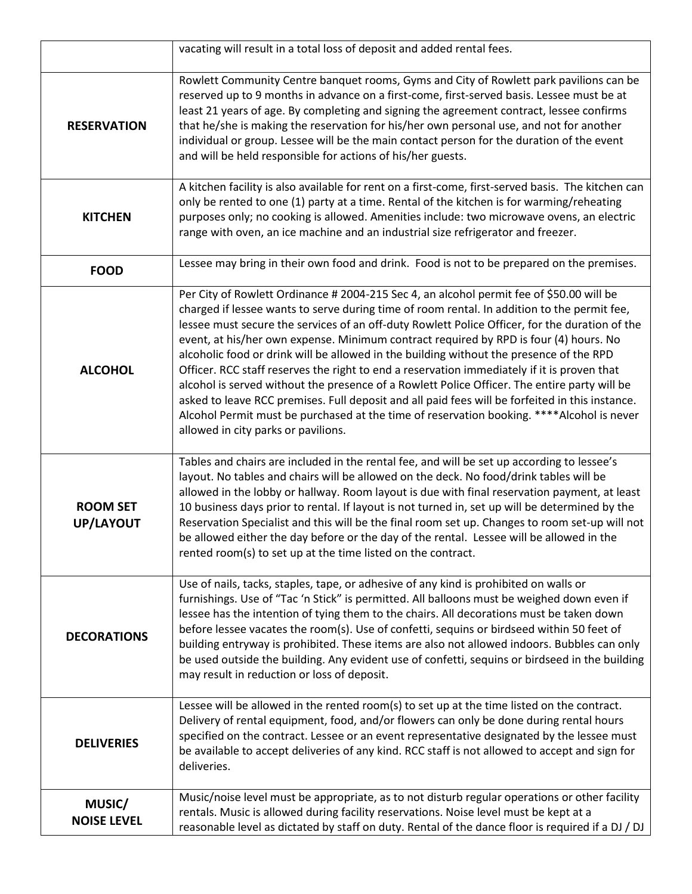|                                                                                                                                                                                                                                                                                                                                                                                                                                                                                                                                                              | vacating will result in a total loss of deposit and added rental fees.                                                                                                                                                                                                                                                                                                                                                                                                                                                                                                                                                                                                                                                                                                                                                                                                                                              |  |  |  |
|--------------------------------------------------------------------------------------------------------------------------------------------------------------------------------------------------------------------------------------------------------------------------------------------------------------------------------------------------------------------------------------------------------------------------------------------------------------------------------------------------------------------------------------------------------------|---------------------------------------------------------------------------------------------------------------------------------------------------------------------------------------------------------------------------------------------------------------------------------------------------------------------------------------------------------------------------------------------------------------------------------------------------------------------------------------------------------------------------------------------------------------------------------------------------------------------------------------------------------------------------------------------------------------------------------------------------------------------------------------------------------------------------------------------------------------------------------------------------------------------|--|--|--|
| Rowlett Community Centre banquet rooms, Gyms and City of Rowlett park pavilions can be<br>reserved up to 9 months in advance on a first-come, first-served basis. Lessee must be at<br>least 21 years of age. By completing and signing the agreement contract, lessee confirms<br>that he/she is making the reservation for his/her own personal use, and not for another<br><b>RESERVATION</b><br>individual or group. Lessee will be the main contact person for the duration of the event<br>and will be held responsible for actions of his/her guests. |                                                                                                                                                                                                                                                                                                                                                                                                                                                                                                                                                                                                                                                                                                                                                                                                                                                                                                                     |  |  |  |
| <b>KITCHEN</b>                                                                                                                                                                                                                                                                                                                                                                                                                                                                                                                                               | A kitchen facility is also available for rent on a first-come, first-served basis. The kitchen can<br>only be rented to one (1) party at a time. Rental of the kitchen is for warming/reheating<br>purposes only; no cooking is allowed. Amenities include: two microwave ovens, an electric<br>range with oven, an ice machine and an industrial size refrigerator and freezer.                                                                                                                                                                                                                                                                                                                                                                                                                                                                                                                                    |  |  |  |
| <b>FOOD</b>                                                                                                                                                                                                                                                                                                                                                                                                                                                                                                                                                  | Lessee may bring in their own food and drink. Food is not to be prepared on the premises.                                                                                                                                                                                                                                                                                                                                                                                                                                                                                                                                                                                                                                                                                                                                                                                                                           |  |  |  |
| <b>ALCOHOL</b>                                                                                                                                                                                                                                                                                                                                                                                                                                                                                                                                               | Per City of Rowlett Ordinance # 2004-215 Sec 4, an alcohol permit fee of \$50.00 will be<br>charged if lessee wants to serve during time of room rental. In addition to the permit fee,<br>lessee must secure the services of an off-duty Rowlett Police Officer, for the duration of the<br>event, at his/her own expense. Minimum contract required by RPD is four (4) hours. No<br>alcoholic food or drink will be allowed in the building without the presence of the RPD<br>Officer. RCC staff reserves the right to end a reservation immediately if it is proven that<br>alcohol is served without the presence of a Rowlett Police Officer. The entire party will be<br>asked to leave RCC premises. Full deposit and all paid fees will be forfeited in this instance.<br>Alcohol Permit must be purchased at the time of reservation booking. ****Alcohol is never<br>allowed in city parks or pavilions. |  |  |  |
| <b>ROOM SET</b><br><b>UP/LAYOUT</b>                                                                                                                                                                                                                                                                                                                                                                                                                                                                                                                          | Tables and chairs are included in the rental fee, and will be set up according to lessee's<br>layout. No tables and chairs will be allowed on the deck. No food/drink tables will be<br>allowed in the lobby or hallway. Room layout is due with final reservation payment, at least<br>10 business days prior to rental. If layout is not turned in, set up will be determined by the<br>Reservation Specialist and this will be the final room set up. Changes to room set-up will not<br>be allowed either the day before or the day of the rental. Lessee will be allowed in the<br>rented room(s) to set up at the time listed on the contract.                                                                                                                                                                                                                                                                |  |  |  |
| <b>DECORATIONS</b>                                                                                                                                                                                                                                                                                                                                                                                                                                                                                                                                           | Use of nails, tacks, staples, tape, or adhesive of any kind is prohibited on walls or<br>furnishings. Use of "Tac 'n Stick" is permitted. All balloons must be weighed down even if<br>lessee has the intention of tying them to the chairs. All decorations must be taken down<br>before lessee vacates the room(s). Use of confetti, sequins or birdseed within 50 feet of<br>building entryway is prohibited. These items are also not allowed indoors. Bubbles can only<br>be used outside the building. Any evident use of confetti, sequins or birdseed in the building<br>may result in reduction or loss of deposit.                                                                                                                                                                                                                                                                                        |  |  |  |
| <b>DELIVERIES</b>                                                                                                                                                                                                                                                                                                                                                                                                                                                                                                                                            | Lessee will be allowed in the rented room(s) to set up at the time listed on the contract.<br>Delivery of rental equipment, food, and/or flowers can only be done during rental hours<br>specified on the contract. Lessee or an event representative designated by the lessee must<br>be available to accept deliveries of any kind. RCC staff is not allowed to accept and sign for<br>deliveries.                                                                                                                                                                                                                                                                                                                                                                                                                                                                                                                |  |  |  |
| MUSIC/<br><b>NOISE LEVEL</b>                                                                                                                                                                                                                                                                                                                                                                                                                                                                                                                                 | Music/noise level must be appropriate, as to not disturb regular operations or other facility<br>rentals. Music is allowed during facility reservations. Noise level must be kept at a<br>reasonable level as dictated by staff on duty. Rental of the dance floor is required if a DJ / DJ                                                                                                                                                                                                                                                                                                                                                                                                                                                                                                                                                                                                                         |  |  |  |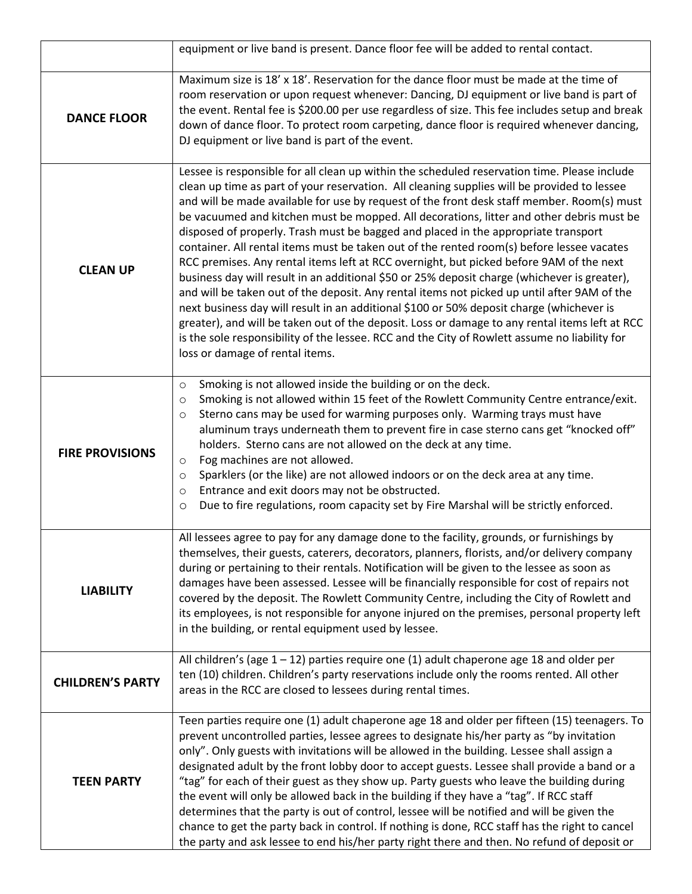|                         | equipment or live band is present. Dance floor fee will be added to rental contact.                                                                                                                                                                                                                                                                                                                                                                                                                                                                                                                                                                                                                                                                                                                                                                                                                                                                                                                                                                                                                                                                                                                  |  |  |  |
|-------------------------|------------------------------------------------------------------------------------------------------------------------------------------------------------------------------------------------------------------------------------------------------------------------------------------------------------------------------------------------------------------------------------------------------------------------------------------------------------------------------------------------------------------------------------------------------------------------------------------------------------------------------------------------------------------------------------------------------------------------------------------------------------------------------------------------------------------------------------------------------------------------------------------------------------------------------------------------------------------------------------------------------------------------------------------------------------------------------------------------------------------------------------------------------------------------------------------------------|--|--|--|
| <b>DANCE FLOOR</b>      | Maximum size is 18' x 18'. Reservation for the dance floor must be made at the time of<br>room reservation or upon request whenever: Dancing, DJ equipment or live band is part of<br>the event. Rental fee is \$200.00 per use regardless of size. This fee includes setup and break<br>down of dance floor. To protect room carpeting, dance floor is required whenever dancing,<br>DJ equipment or live band is part of the event.                                                                                                                                                                                                                                                                                                                                                                                                                                                                                                                                                                                                                                                                                                                                                                |  |  |  |
| <b>CLEAN UP</b>         | Lessee is responsible for all clean up within the scheduled reservation time. Please include<br>clean up time as part of your reservation. All cleaning supplies will be provided to lessee<br>and will be made available for use by request of the front desk staff member. Room(s) must<br>be vacuumed and kitchen must be mopped. All decorations, litter and other debris must be<br>disposed of properly. Trash must be bagged and placed in the appropriate transport<br>container. All rental items must be taken out of the rented room(s) before lessee vacates<br>RCC premises. Any rental items left at RCC overnight, but picked before 9AM of the next<br>business day will result in an additional \$50 or 25% deposit charge (whichever is greater),<br>and will be taken out of the deposit. Any rental items not picked up until after 9AM of the<br>next business day will result in an additional \$100 or 50% deposit charge (whichever is<br>greater), and will be taken out of the deposit. Loss or damage to any rental items left at RCC<br>is the sole responsibility of the lessee. RCC and the City of Rowlett assume no liability for<br>loss or damage of rental items. |  |  |  |
| <b>FIRE PROVISIONS</b>  | Smoking is not allowed inside the building or on the deck.<br>$\circ$<br>Smoking is not allowed within 15 feet of the Rowlett Community Centre entrance/exit.<br>$\circ$<br>Sterno cans may be used for warming purposes only. Warming trays must have<br>$\circ$<br>aluminum trays underneath them to prevent fire in case sterno cans get "knocked off"<br>holders. Sterno cans are not allowed on the deck at any time.<br>Fog machines are not allowed.<br>$\circ$<br>Sparklers (or the like) are not allowed indoors or on the deck area at any time.<br>$\circ$<br>Entrance and exit doors may not be obstructed.<br>$\circ$<br>Due to fire regulations, room capacity set by Fire Marshal will be strictly enforced.<br>$\circ$                                                                                                                                                                                                                                                                                                                                                                                                                                                               |  |  |  |
| <b>LIABILITY</b>        | All lessees agree to pay for any damage done to the facility, grounds, or furnishings by<br>themselves, their guests, caterers, decorators, planners, florists, and/or delivery company<br>during or pertaining to their rentals. Notification will be given to the lessee as soon as<br>damages have been assessed. Lessee will be financially responsible for cost of repairs not<br>covered by the deposit. The Rowlett Community Centre, including the City of Rowlett and<br>its employees, is not responsible for anyone injured on the premises, personal property left<br>in the building, or rental equipment used by lessee.                                                                                                                                                                                                                                                                                                                                                                                                                                                                                                                                                               |  |  |  |
| <b>CHILDREN'S PARTY</b> | All children's (age $1 - 12$ ) parties require one (1) adult chaperone age 18 and older per<br>ten (10) children. Children's party reservations include only the rooms rented. All other<br>areas in the RCC are closed to lessees during rental times.                                                                                                                                                                                                                                                                                                                                                                                                                                                                                                                                                                                                                                                                                                                                                                                                                                                                                                                                              |  |  |  |
| <b>TEEN PARTY</b>       | Teen parties require one (1) adult chaperone age 18 and older per fifteen (15) teenagers. To<br>prevent uncontrolled parties, lessee agrees to designate his/her party as "by invitation<br>only". Only guests with invitations will be allowed in the building. Lessee shall assign a<br>designated adult by the front lobby door to accept guests. Lessee shall provide a band or a<br>"tag" for each of their guest as they show up. Party guests who leave the building during<br>the event will only be allowed back in the building if they have a "tag". If RCC staff<br>determines that the party is out of control, lessee will be notified and will be given the<br>chance to get the party back in control. If nothing is done, RCC staff has the right to cancel<br>the party and ask lessee to end his/her party right there and then. No refund of deposit or                                                                                                                                                                                                                                                                                                                          |  |  |  |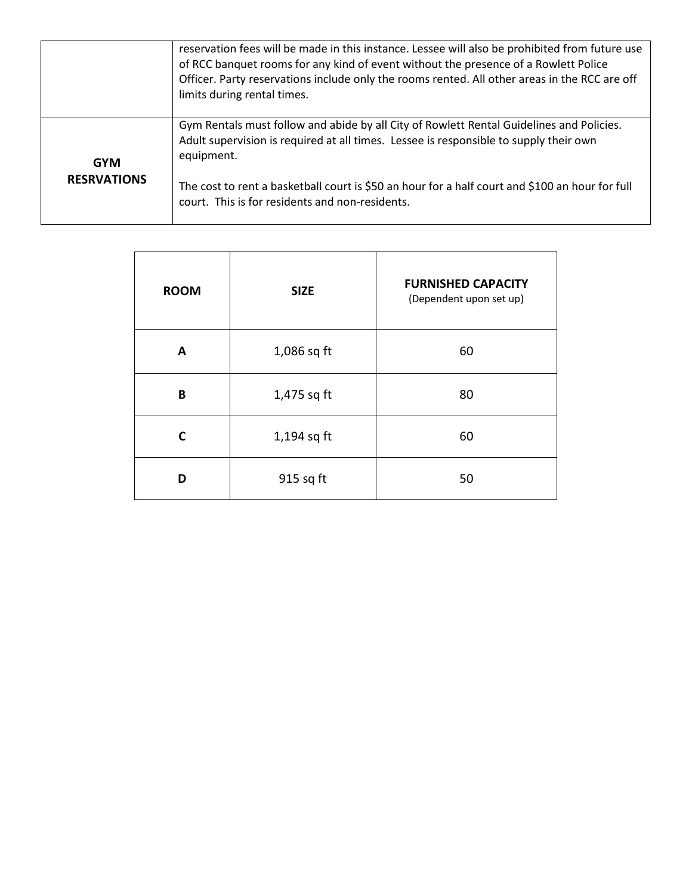|                    | reservation fees will be made in this instance. Lessee will also be prohibited from future use<br>of RCC banquet rooms for any kind of event without the presence of a Rowlett Police<br>Officer. Party reservations include only the rooms rented. All other areas in the RCC are off<br>limits during rental times. |
|--------------------|-----------------------------------------------------------------------------------------------------------------------------------------------------------------------------------------------------------------------------------------------------------------------------------------------------------------------|
| <b>GYM</b>         | Gym Rentals must follow and abide by all City of Rowlett Rental Guidelines and Policies.<br>Adult supervision is required at all times. Lessee is responsible to supply their own<br>equipment.                                                                                                                       |
| <b>RESRVATIONS</b> | The cost to rent a basketball court is \$50 an hour for a half court and \$100 an hour for full<br>court. This is for residents and non-residents.                                                                                                                                                                    |

| <b>ROOM</b> | <b>SIZE</b>   | <b>FURNISHED CAPACITY</b><br>(Dependent upon set up) |  |
|-------------|---------------|------------------------------------------------------|--|
| A           | $1,086$ sq ft | 60                                                   |  |
| B           | 1,475 sq ft   | 80                                                   |  |
| C           | $1,194$ sq ft | 60                                                   |  |
| D           | 915 sq ft     | 50                                                   |  |